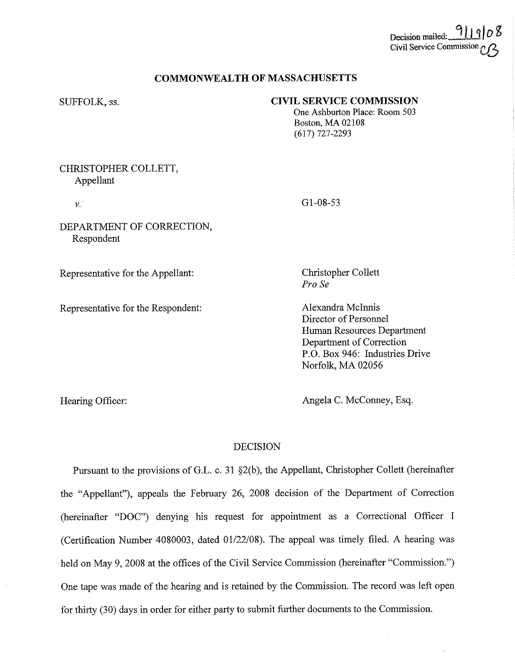# Decision mailed:... Civil Service Commission

## **COMMONWEALTH OF MASSACHUSETTS**

### SUFFOLK, ss.

## **CIVIL SERVICE COMMISSION**

One Ashburton Place: Room 503 Boston, MA 02108 (617) 727-2293

## CHRISTOPHER COLLETT, Appellant

*V.* 

Hearing Officer:

DEPARTMENT OF CORRECTION, Respondent

Representative for the Appellant:

Representative for the Respondent:

Gl-08-53

Christopher Collett *Pro Se* 

Alexandra Mclnnis Director of Personnel Human Resources Department Department of Correction P.O. Box 946: Industries Drive Norfolk, MA 02056

Angela C. McConney, Esq.

## DECISION

Pursuant to the provisions of G.L. c. 31 §2(b), the Appellant, Christopher Collett (hereinafter the "Appellant"), appeals the February 26, 2008 decision of the Department of Correction (hereinafter "DOC") denying his request for appointment as a Correctional Officer I (Certification Number 4080003, dated 01/22/08). The appeal was timely filed. A hearing was held on May 9, 2008 at the offices of the Civil Service Commission (hereinafter "Commission.") One tape was made of the hearing and is retained by the Commission. The record was left open for thirty (30) days in order for either party to snbmit further documents to the Commission.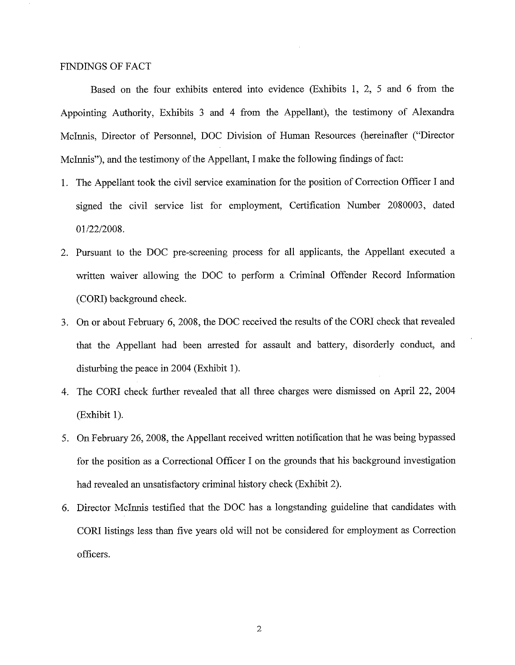## FINDINGS OF FACT

Based on the four exhibits entered into evidence (Exhibits I, 2, 5 and 6 from the Appointing Authority, Exhibits 3 and 4 from the Appellant), the testimony of Alexandra Mclnnis, Director of Personnel, DOC Division of Human Resources (hereinafter ("Director Mclnnis"), and the testimony of the Appellant, I make the following findings of fact:

- I. The Appellant took the civil service examination for the position of Correction Officer I and signed the civil service list for employment, Certification Number 2080003, dated 01/22/2008.
- 2. Pursuant to the DOC pre-screening process for all applicants, the Appellant executed a written waiver allowing the DOC to perform a Criminal Offender Record Information (CORI) background check.
- 3. On or about February 6, 2008, the DOC received the results of the CORI check that revealed that the Appellant had been arrested for assault and battery, disorderly conduct, and disturbing the peace in 2004 (Exhibit I).
- 4. The CORI check further revealed that all three charges were dismissed on April 22, 2004 (Exhibit I).
- 5. On February 26, 2008, the Appellant received written notification that he was being bypassed for the position as a Correctional Officer I on the grounds that his background investigation had revealed an unsatisfactory criminal history check (Exhibit 2).
- 6. Director Mcinnis testified that the DOC has a longstanding guideline that candidates with CORI listings less than five years old will not be considered for employment as Correction officers.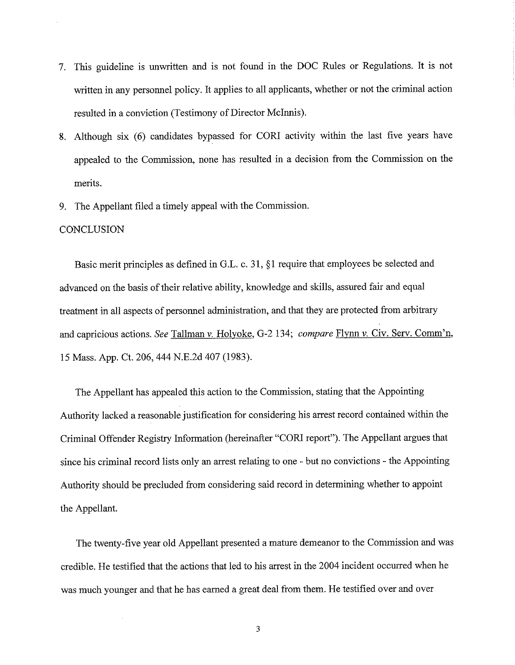- 7. This guideline is unwritten and is not found in the DOC Rules or Regulations. It is not written in any personnel policy. It applies to all applicants, whether or not the criminal action resulted in a conviction (Testimony of Director Mclnnis).
- 8. Although six (6) candidates bypassed for CORI activity within the last five years have appealed to the Commission, none has resulted in a decision from the Commission on the merits.
- 9. The Appellant filed a timely appeal with the Commission.

### **CONCLUSION**

 $\bar{z}$ 

Basic merit principles as defined in G.L. c. 31, §1 require that employees be selected and advanced on the basis of their relative ability, knowledge and skills, assured fair and equal treatment in all aspects of personnel administration, and that they are protected from arbitrary and capricious actions. *See* Tallman *v.* Holyoke, G-2 134; *compare* Flynn *v.* Civ. Serv. Comm'n, 15 Mass. App. Ct. 206,444 N.E.2d 407 (1983).

The Appellant has appealed this action to the Commission, stating that the Appointing Authority lacked a reasonable justification for considering his arrest record contained within the Criminal Offender Registry Information (hereinafter "CORI report"). The Appellant argues that since his criminal record lists only an arrest relating to one - but no convictions - the Appointing Authority should be precluded from considering said record in determining whether to appoint the Appellant.

The twenty-five year old Appellant presented a mature demeanor to the Commission and was credible. He testified that the actions that led to his arrest in the 2004 incident occurred when he was much younger and that he has earned a great deal from them. He testified over and over

3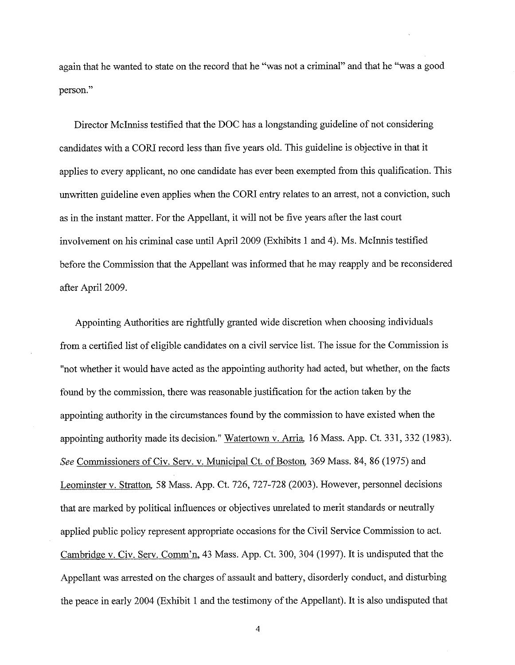again that he wanted to state on the record that he "was not a criminal" and that he "was a good person."

Director Mclnniss testified that the DOC has a longstanding guideline of not considering candidates with a CORI record less than five years old. This guideline is objective in that it applies to every applicant, no one candidate has ever been exempted from this qualification. This unwritten guideline even applies when the CORI entry relates to an arrest, not a conviction, such as in the instant matter. For the Appellant, it will not be five years after the last court involvement on his criminal case until April 2009 (Exhibits I and 4). Ms. Mclnnis testified before the Commission that the Appellant was informed that he may reapply and be reconsidered after April 2009.

Appointing Authorities are rightfully granted wide discretion when choosing individuals from a certified list of eligible candidates on a civil service list. The issue for the Commission is "not whether it would have acted as the appointing authority had acted, but whether, on the facts found by the commission, there was reasonable justification for the action taken by the appointing authority in the circumstances found by the commission to have existed when the appointing authority made its decision." Watertown v. Arria, 16 Mass. App. Ct. 331,332 (1983). *See* Commissioners of Civ. Serv. v. Municipal Ct. of Boston, 369 Mass. 84, 86 (1975) and Leominster v. Stratton, 58 Mass. App. Ct. 726, 727-728 (2003). However, personnel decisions that are marked by political influences or objectives unrelated to merit standards or neutrally applied public policy represent appropriate occasions for the Civil Service Commission to act. Cambridge v. Civ. Serv. Comm'n, 43 Mass. App. Ct. 300,304 (1997). It is undisputed that the Appellant was arrested on the charges of assault and battery, disorderly conduct, and disturbing the peace in early 2004 (Exhibit I and the testimony of the Appellant). It is also undisputed that

4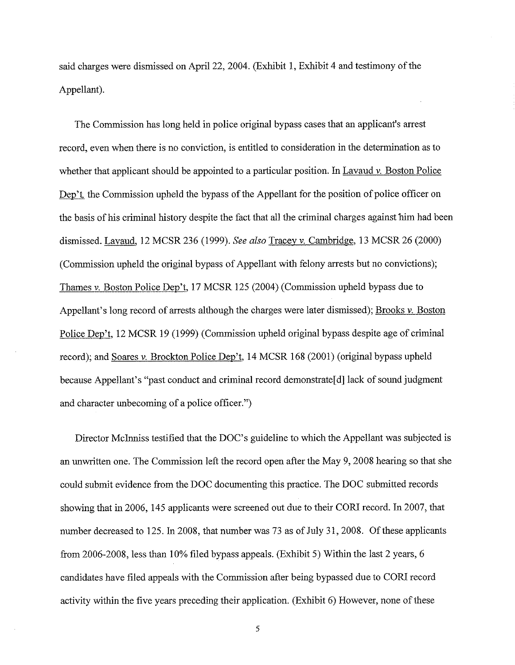said charges were dismissed on April 22, 2004. (Exhibit 1, Exhibit 4 and testimony of the Appellant).

The Commission has long held in police original bypass cases that an applicant's arrest record, even when there is no conviction, is entitled to consideration in the determination as to whether that applicant should be appointed to a particular position. In Lavaud v. Boston Police Dep't, the Commission upheld the bypass of the Appellant for the position of police officer on the basis of his criminal history despite the fact that all the criminal charges against him had been dismissed. Lavaud, 12 MCSR 236 (1999). *See also* Tracey *v.* Cambridge, 13 MCSR 26 (2000) (Commission upheld the original bypass of Appellant with felony arrests but no convictions); Thames v. Boston Police Dep't, 17 MCSR 125 (2004) (Commission upheld bypass due to Appellant's long record of arrests although the charges were later dismissed); Brooks v. Boston Police Dep't, 12 MCSR 19 (1999) (Commission upheld original bypass despite age of criminal record); and Soares *v.* Brockton Police Dep't, 14 MCSR 168 (2001) (original bypass upheld because Appellant's "past conduct and criminal record demonstrate[d] lack of sound judgment and character unbecoming of a police officer.")

Director Mclnniss testified that the DOC's guideline to which the Appellant was subjected is an unwritten one. The Commission left the record open after the May 9, 2008 hearing so that she could submit evidence from the DOC documenting this practice. The DOC submitted records showing that in 2006, 145 applicants were screened out due to their CORI record. In 2007, that number decreased to 125. In 2008, that number was 73 as of July 31, 2008. Of these applicants from 2006-2008, less than 10% filed bypass appeals. (Exhibit 5) Within the last 2 years, 6 candidates have filed appeals with the Commission after being bypassed due to CORI record activity within the five years preceding their application. (Exhibit 6) However, none of these

5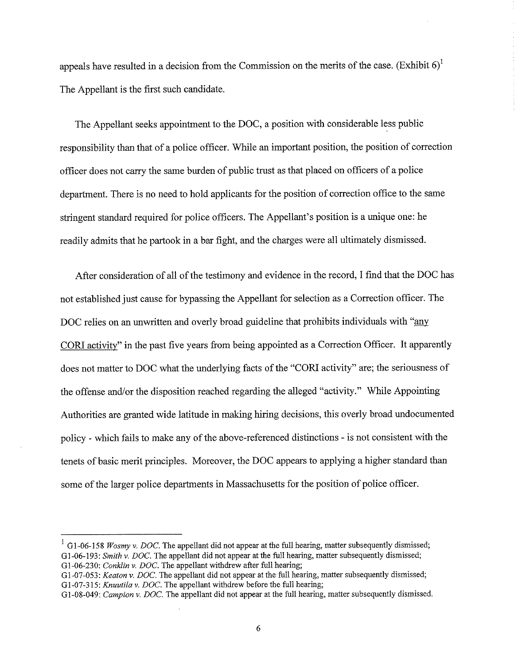appeals have resulted in a decision from the Commission on the merits of the case. (Exhibit  $6$ )<sup>1</sup> The Appellant is the first such candidate.

The Appellant seeks appointment to the DOC, a position with considerable less public responsibility than that of a police officer. While an important position, the position of correction officer does not carry the same burden of public trust as that placed on officers of a police department. There is no need to hold applicants for the position of correction office to the same stringent standard required for police officers. The Appellant's position is a unique one: he readily admits that he partook in a bar fight, and the charges were all ultimately dismissed.

After consideration of all of the testimony and evidence in the record, I find that the DOC has not established just cause for bypassing the Appellant for selection as a Correction officer. The DOC relies on an unwritten and overly broad guideline that prohibits individuals with "any CORI activity" in the past five years from being appointed as a Correction Officer. It apparently does not matter to DOC what the underlying facts of the "CORI activity" are; the seriousness of the offense and/or the disposition reached regarding the alleged "activity." While Appointing Authorities are granted wide latitude in making hiring decisions, this overly broad undocumented policy - which fails to make any of the above-referenced distinctions - is not consistent with the tenets of basic merit principles. Moreover, the DOC appears to applying a higher standard than some of the larger police departments in Massachusetts for the position of police officer.

<sup>&</sup>lt;sup>1</sup> G1-06-158 *Wosmy v. DOC*. The appellant did not appear at the full hearing, matter subsequently dismissed; G1-06-193: *Smith v. DOC*. The appellant did not appear at the full hearing, matter subsequently dismissed; G1-06-230: *Conklin v. DOC*. The appellant withdrew after full hearing;

G 1-07-053: *Keaton v. DOC.* The appellant did not appear at the full hearing, matter subsequently dismissed; G1-07-315: *Knuutila v. DOC*. The appellant withdrew before the full hearing;

G1-08-049: *Campion v. DOC*. The appellant did not appear at the full hearing, matter subsequently dismissed.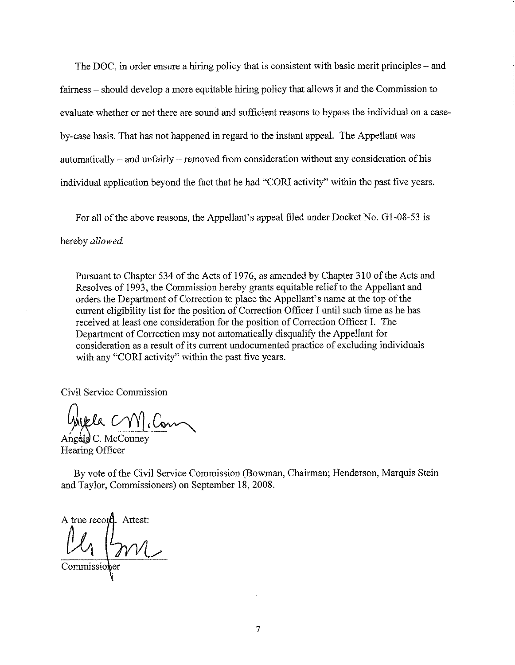The DOC, in order ensure a hiring policy that is consistent with basic merit principles – and fairness – should develop a more equitable hiring policy that allows it and the Commission to evaluate whether or not there are sound and sufficient reasons to bypass the individual on a caseby-case basis. That has not happened in regard to the instant appeal. The Appellant was automatically - and unfairly - removed from consideration without any consideration of his individual application beyond the fact that he had "CORl activity" within the past five years.

For all of the above reasons, the Appellant's appeal filed under Docket No. G1-08-53 is

hereby *allowed* 

Pursuant to Chapter 534 of the Acts of 1976, as amended by Chapter 310 of the Acts and Resolves of 1993, the Commission hereby grants equitable relief to the Appellant and orders the Department of Correction to place the Appellant's name at the top of the current eligibility list for the position of Correction Officer I until such time as he has received at least one consideration for the position of Correction Officer I. The Department of Correction may not automatically disqualify the Appellant for consideration as a result of its current undocumented practice of excluding individuals with any "CORI activity" within the past five years.

Civil Service Commission

Walla CVV cCom

Hearing Officer

By vote of the Civil Service Commission (Bowman, Chairman; Henderson, Marquis Stein and Taylor, Commissioners) on September 18, 2008.

A true record. Attest:  $\frac{1}{2}$ 

Commissioner